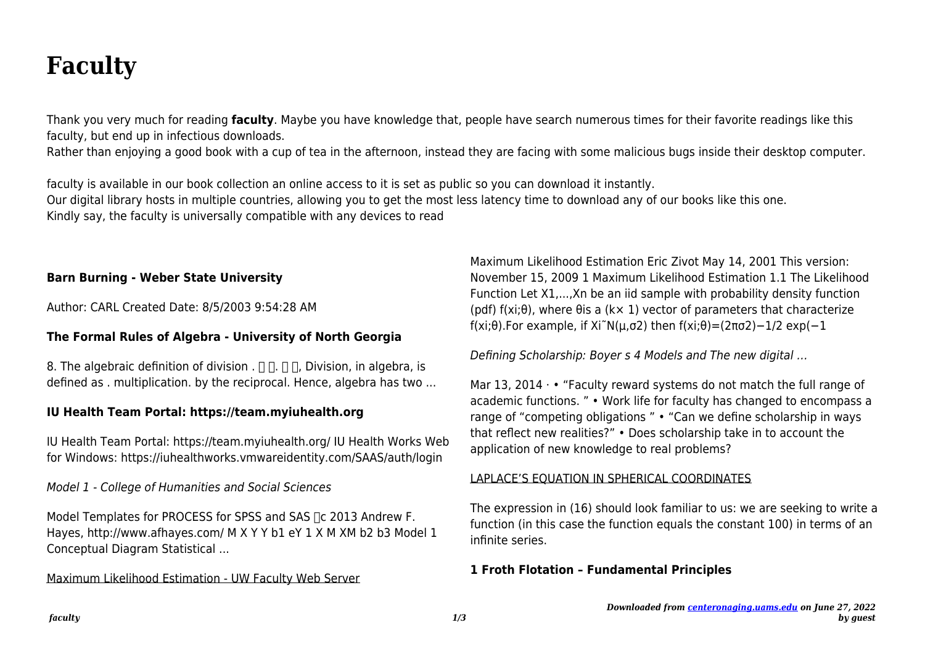# **Faculty**

Thank you very much for reading **faculty**. Maybe you have knowledge that, people have search numerous times for their favorite readings like this faculty, but end up in infectious downloads.

Rather than enjoying a good book with a cup of tea in the afternoon, instead they are facing with some malicious bugs inside their desktop computer.

faculty is available in our book collection an online access to it is set as public so you can download it instantly. Our digital library hosts in multiple countries, allowing you to get the most less latency time to download any of our books like this one. Kindly say, the faculty is universally compatible with any devices to read

# **Barn Burning - Weber State University**

Author: CARL Created Date: 8/5/2003 9:54:28 AM

# **The Formal Rules of Algebra - University of North Georgia**

8. The algebraic definition of division .  $\Box \Box \Box$  Division, in algebra, is defined as . multiplication. by the reciprocal. Hence, algebra has two ...

# **IU Health Team Portal: https://team.myiuhealth.org**

IU Health Team Portal: https://team.myiuhealth.org/ IU Health Works Web for Windows: https://iuhealthworks.vmwareidentity.com/SAAS/auth/login

Model 1 - College of Humanities and Social Sciences

Model Templates for PROCESS for SPSS and SAS ∏c 2013 Andrew F. Hayes, http://www.afhayes.com/ M X Y Y b1 eY 1 X M XM b2 b3 Model 1 Conceptual Diagram Statistical ...

### Maximum Likelihood Estimation - UW Faculty Web Server

Maximum Likelihood Estimation Eric Zivot May 14, 2001 This version: November 15, 2009 1 Maximum Likelihood Estimation 1.1 The Likelihood Function Let X1,...,Xn be an iid sample with probability density function (pdf) f(xi;θ), where θis a (k× 1) vector of parameters that characterize f(xi;θ).For example, if Xi~N(μ,σ2) then  $f(xi;\theta) = (2\pi\sigma^2) - 1/2 \exp(-1)$ 

Defining Scholarship: Boyer s 4 Models and The new digital …

Mar 13, 2014  $\cdot\cdot\cdot$  "Faculty reward systems do not match the full range of academic functions. " • Work life for faculty has changed to encompass a range of "competing obligations " • "Can we define scholarship in ways that reflect new realities?" • Does scholarship take in to account the application of new knowledge to real problems?

### LAPLACE'S EQUATION IN SPHERICAL COORDINATES

The expression in (16) should look familiar to us: we are seeking to write a function (in this case the function equals the constant 100) in terms of an infinite series.

### **1 Froth Flotation – Fundamental Principles**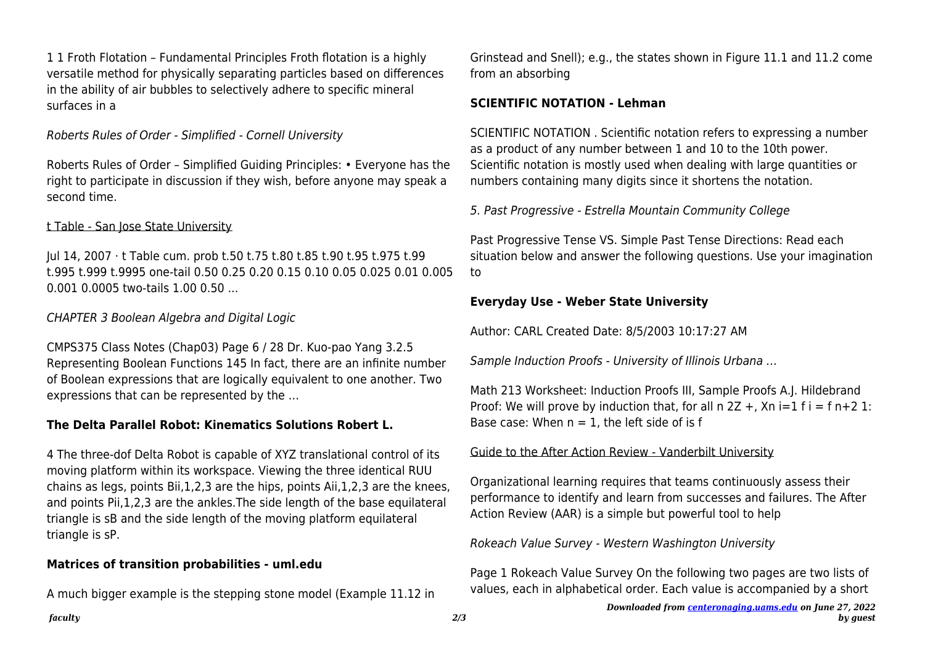1 1 Froth Flotation – Fundamental Principles Froth flotation is a highly versatile method for physically separating particles based on differences in the ability of air bubbles to selectively adhere to specific mineral surfaces in a

Roberts Rules of Order - Simplified - Cornell University

Roberts Rules of Order – Simplified Guiding Principles: • Everyone has the right to participate in discussion if they wish, before anyone may speak a second time.

## t Table - San Jose State University

Jul 14, 2007 · t Table cum. prob t.50 t.75 t.80 t.85 t.90 t.95 t.975 t.99 t.995 t.999 t.9995 one-tail 0.50 0.25 0.20 0.15 0.10 0.05 0.025 0.01 0.005 0.001 0.0005 two-tails 1.00 0.50 ...

## CHAPTER 3 Boolean Algebra and Digital Logic

CMPS375 Class Notes (Chap03) Page 6 / 28 Dr. Kuo-pao Yang 3.2.5 Representing Boolean Functions 145 In fact, there are an infinite number of Boolean expressions that are logically equivalent to one another. Two expressions that can be represented by the …

# **The Delta Parallel Robot: Kinematics Solutions Robert L.**

4 The three-dof Delta Robot is capable of XYZ translational control of its moving platform within its workspace. Viewing the three identical RUU chains as legs, points Bii,1,2,3 are the hips, points Aii,1,2,3 are the knees, and points Pii,1,2,3 are the ankles.The side length of the base equilateral triangle is sB and the side length of the moving platform equilateral triangle is sP.

### **Matrices of transition probabilities - uml.edu**

A much bigger example is the stepping stone model (Example 11.12 in

Grinstead and Snell); e.g., the states shown in Figure 11.1 and 11.2 come from an absorbing

#### **SCIENTIFIC NOTATION - Lehman**

SCIENTIFIC NOTATION . Scientific notation refers to expressing a number as a product of any number between 1 and 10 to the 10th power. Scientific notation is mostly used when dealing with large quantities or numbers containing many digits since it shortens the notation.

5. Past Progressive - Estrella Mountain Community College

Past Progressive Tense VS. Simple Past Tense Directions: Read each situation below and answer the following questions. Use your imagination to

# **Everyday Use - Weber State University**

Author: CARL Created Date: 8/5/2003 10:17:27 AM

Sample Induction Proofs - University of Illinois Urbana …

Math 213 Worksheet: Induction Proofs III, Sample Proofs A.J. Hildebrand Proof: We will prove by induction that, for all  $n$  2Z +, Xn i=1 f i = f n+2 1: Base case: When  $n = 1$ , the left side of is f

### Guide to the After Action Review - Vanderbilt University

Organizational learning requires that teams continuously assess their performance to identify and learn from successes and failures. The After Action Review (AAR) is a simple but powerful tool to help

Rokeach Value Survey - Western Washington University

Page 1 Rokeach Value Survey On the following two pages are two lists of values, each in alphabetical order. Each value is accompanied by a short

*faculty 2/3*